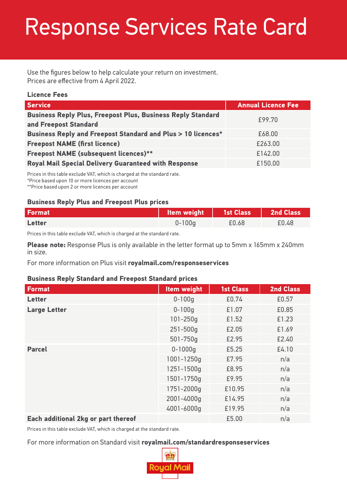# Response Services Rate Card

Use the figures below to help calculate your return on investment. Prices are effective from 4 April 2022.

#### **Licence Fees**

| Service <sup>1</sup>                                                                        | <b>Annual Licence Fee</b> |
|---------------------------------------------------------------------------------------------|---------------------------|
| <b>Business Reply Plus, Freepost Plus, Business Reply Standard</b><br>and Freepost Standard | £99.70                    |
| <b>Business Reply and Freepost Standard and Plus &gt; 10 licences*</b>                      | £68.00                    |
| <b>Freepost NAME (first licence)</b>                                                        | £263.00                   |
| <b>Freepost NAME (subsequent licences)**</b>                                                | £142.00                   |
| <b>Royal Mail Special Delivery Guaranteed with Response</b>                                 | £150.00                   |

Prices in this table exclude VAT, which is charged at the standard rate.

\*Price based upon 10 or more licences per account

\*\*Price based upon 2 or more licences per account

### **Business Reply Plus and Freepost Plus prices**

| <b>Format</b> | ltem weight \ | 1st Class   2nd Class |       |
|---------------|---------------|-----------------------|-------|
| <b>Letter</b> | $0 - 100q$    | £0.68                 | £0.48 |

Prices in this table exclude VAT, which is charged at the standard rate.

**Please note:** Response Plus is only available in the letter format up to 5mm x 165mm x 240mm in size.

For more information on Plus visit **royalmail.com/responseservices**

#### **Business Reply Standard and Freepost Standard prices**

| <b>Format</b>                       | <b>Item weight</b> | <b>1st Class</b> | <b>2nd Class</b> |
|-------------------------------------|--------------------|------------------|------------------|
| Letter                              | $0 - 100q$         | £0.74            | £0.57            |
| <b>Large Letter</b>                 | $0 - 100q$         | £1.07            | £0.85            |
|                                     | $101 - 250q$       | £1.52            | £1.23            |
|                                     | $251 - 500q$       | £2.05            | £1.69            |
|                                     | $501 - 750q$       | £2.95            | £2.40            |
| <b>Parcel</b>                       | $0 - 1000q$        | £5.25            | £4.10            |
|                                     | 1001-1250g         | £7.95            | n/a              |
|                                     | 1251-1500g         | £8.95            | n/a              |
|                                     | 1501-1750g         | £9.95            | n/a              |
|                                     | 1751-2000g         | £10.95           | n/a              |
|                                     | 2001-4000g         | £14.95           | n/a              |
|                                     | 4001-6000g         | £19.95           | n/a              |
| Each additional 2kg or part thereof |                    | £5.00            | n/a              |

Prices in this table exclude VAT, which is charged at the standard rate.

### For more information on Standard visit **royalmail.com/standardresponseservices**